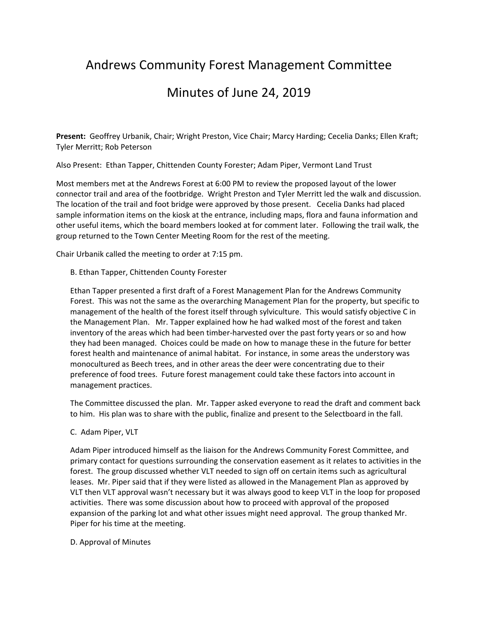# Andrews Community Forest Management Committee

# Minutes of June 24, 2019

**Present:** Geoffrey Urbanik, Chair; Wright Preston, Vice Chair; Marcy Harding; Cecelia Danks; Ellen Kraft; Tyler Merritt; Rob Peterson

Also Present: Ethan Tapper, Chittenden County Forester; Adam Piper, Vermont Land Trust

Most members met at the Andrews Forest at 6:00 PM to review the proposed layout of the lower connector trail and area of the footbridge. Wright Preston and Tyler Merritt led the walk and discussion. The location of the trail and foot bridge were approved by those present. Cecelia Danks had placed sample information items on the kiosk at the entrance, including maps, flora and fauna information and other useful items, which the board members looked at for comment later. Following the trail walk, the group returned to the Town Center Meeting Room for the rest of the meeting.

Chair Urbanik called the meeting to order at 7:15 pm.

## B. Ethan Tapper, Chittenden County Forester

Ethan Tapper presented a first draft of a Forest Management Plan for the Andrews Community Forest. This was not the same as the overarching Management Plan for the property, but specific to management of the health of the forest itself through sylviculture. This would satisfy objective C in the Management Plan. Mr. Tapper explained how he had walked most of the forest and taken inventory of the areas which had been timber-harvested over the past forty years or so and how they had been managed. Choices could be made on how to manage these in the future for better forest health and maintenance of animal habitat. For instance, in some areas the understory was monocultured as Beech trees, and in other areas the deer were concentrating due to their preference of food trees. Future forest management could take these factors into account in management practices.

The Committee discussed the plan. Mr. Tapper asked everyone to read the draft and comment back to him. His plan was to share with the public, finalize and present to the Selectboard in the fall.

C. Adam Piper, VLT

Adam Piper introduced himself as the liaison for the Andrews Community Forest Committee, and primary contact for questions surrounding the conservation easement as it relates to activities in the forest. The group discussed whether VLT needed to sign off on certain items such as agricultural leases. Mr. Piper said that if they were listed as allowed in the Management Plan as approved by VLT then VLT approval wasn't necessary but it was always good to keep VLT in the loop for proposed activities. There was some discussion about how to proceed with approval of the proposed expansion of the parking lot and what other issues might need approval. The group thanked Mr. Piper for his time at the meeting.

#### D. Approval of Minutes